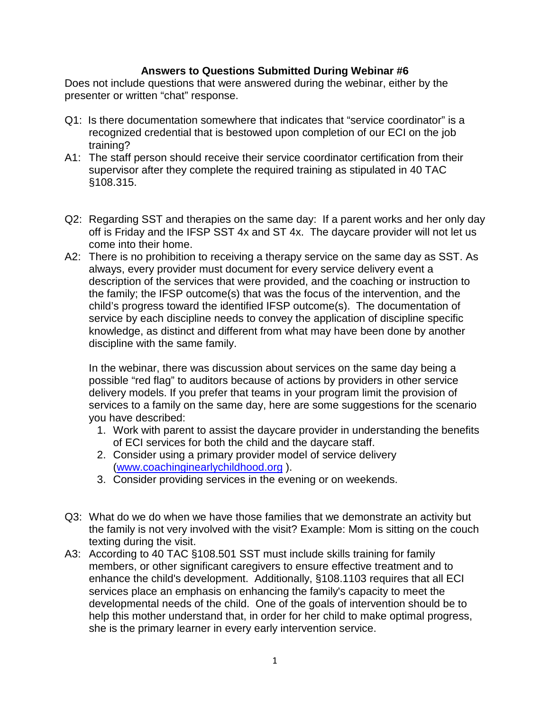## **Answers to Questions Submitted During Webinar #6**

Does not include questions that were answered during the webinar, either by the presenter or written "chat" response.

- Q1: Is there documentation somewhere that indicates that "service coordinator" is a recognized credential that is bestowed upon completion of our ECI on the job training?
- A1: The staff person should receive their service coordinator certification from their supervisor after they complete the required training as stipulated in 40 TAC §108.315.
- Q2: Regarding SST and therapies on the same day: If a parent works and her only day off is Friday and the IFSP SST 4x and ST 4x. The daycare provider will not let us come into their home.
- A2: There is no prohibition to receiving a therapy service on the same day as SST. As always, every provider must document for every service delivery event a description of the services that were provided, and the coaching or instruction to the family; the IFSP outcome(s) that was the focus of the intervention, and the child's progress toward the identified IFSP outcome(s). The documentation of service by each discipline needs to convey the application of discipline specific knowledge, as distinct and different from what may have been done by another discipline with the same family.

In the webinar, there was discussion about services on the same day being a possible "red flag" to auditors because of actions by providers in other service delivery models. If you prefer that teams in your program limit the provision of services to a family on the same day, here are some suggestions for the scenario you have described:

- 1. Work with parent to assist the daycare provider in understanding the benefits of ECI services for both the child and the daycare staff.
- 2. Consider using a primary provider model of service delivery [\(www.coachinginearlychildhood.org](http://www.coachinginearlychildhood.org/) ).
- 3. Consider providing services in the evening or on weekends.
- Q3: What do we do when we have those families that we demonstrate an activity but the family is not very involved with the visit? Example: Mom is sitting on the couch texting during the visit.
- A3: According to 40 TAC §108.501 SST must include skills training for family members, or other significant caregivers to ensure effective treatment and to enhance the child's development. Additionally, §108.1103 requires that all ECI services place an emphasis on enhancing the family's capacity to meet the developmental needs of the child. One of the goals of intervention should be to help this mother understand that, in order for her child to make optimal progress, she is the primary learner in every early intervention service.